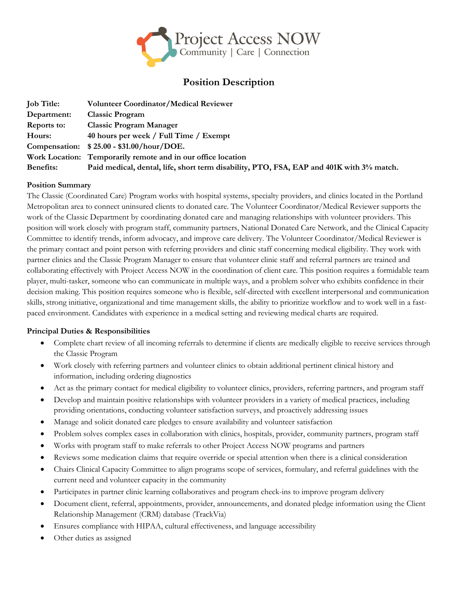

# **Position Description**

| <b>Job Title:</b>  | <b>Volunteer Coordinator/Medical Reviewer</b>                                            |
|--------------------|------------------------------------------------------------------------------------------|
| Department:        | <b>Classic Program</b>                                                                   |
| <b>Reports to:</b> | <b>Classic Program Manager</b>                                                           |
| Hours:             | 40 hours per week / Full Time / Exempt                                                   |
|                    | Compensation: \$25.00 - \$31.00/hour/DOE.                                                |
|                    | Work Location: Temporarily remote and in our office location                             |
| <b>Benefits:</b>   | Paid medical, dental, life, short term disability, PTO, FSA, EAP and 401K with 3% match. |

## **Position Summary**

The Classic (Coordinated Care) Program works with hospital systems, specialty providers, and clinics located in the Portland Metropolitan area to connect uninsured clients to donated care. The Volunteer Coordinator/Medical Reviewer supports the work of the Classic Department by coordinating donated care and managing relationships with volunteer providers. This position will work closely with program staff, community partners, National Donated Care Network, and the Clinical Capacity Committee to identify trends, inform advocacy, and improve care delivery. The Volunteer Coordinator/Medical Reviewer is the primary contact and point person with referring providers and clinic staff concerning medical eligibility. They work with partner clinics and the Classic Program Manager to ensure that volunteer clinic staff and referral partners are trained and collaborating effectively with Project Access NOW in the coordination of client care. This position requires a formidable team player, multi-tasker, someone who can communicate in multiple ways, and a problem solver who exhibits confidence in their decision making. This position requires someone who is flexible, self-directed with excellent interpersonal and communication skills, strong initiative, organizational and time management skills, the ability to prioritize workflow and to work well in a fastpaced environment. Candidates with experience in a medical setting and reviewing medical charts are required.

#### **Principal Duties & Responsibilities**

- Complete chart review of all incoming referrals to determine if clients are medically eligible to receive services through the Classic Program
- Work closely with referring partners and volunteer clinics to obtain additional pertinent clinical history and information, including ordering diagnostics
- Act as the primary contact for medical eligibility to volunteer clinics, providers, referring partners, and program staff
- Develop and maintain positive relationships with volunteer providers in a variety of medical practices, including providing orientations, conducting volunteer satisfaction surveys, and proactively addressing issues
- Manage and solicit donated care pledges to ensure availability and volunteer satisfaction
- Problem solves complex cases in collaboration with clinics, hospitals, provider, community partners, program staff
- Works with program staff to make referrals to other Project Access NOW programs and partners
- Reviews some medication claims that require override or special attention when there is a clinical consideration
- Chairs Clinical Capacity Committee to align programs scope of services, formulary, and referral guidelines with the current need and volunteer capacity in the community
- Participates in partner clinic learning collaboratives and program check-ins to improve program delivery
- Document client, referral, appointments, provider, announcements, and donated pledge information using the Client Relationship Management (CRM) database (TrackVia)
- Ensures compliance with HIPAA, cultural effectiveness, and language accessibility
- Other duties as assigned